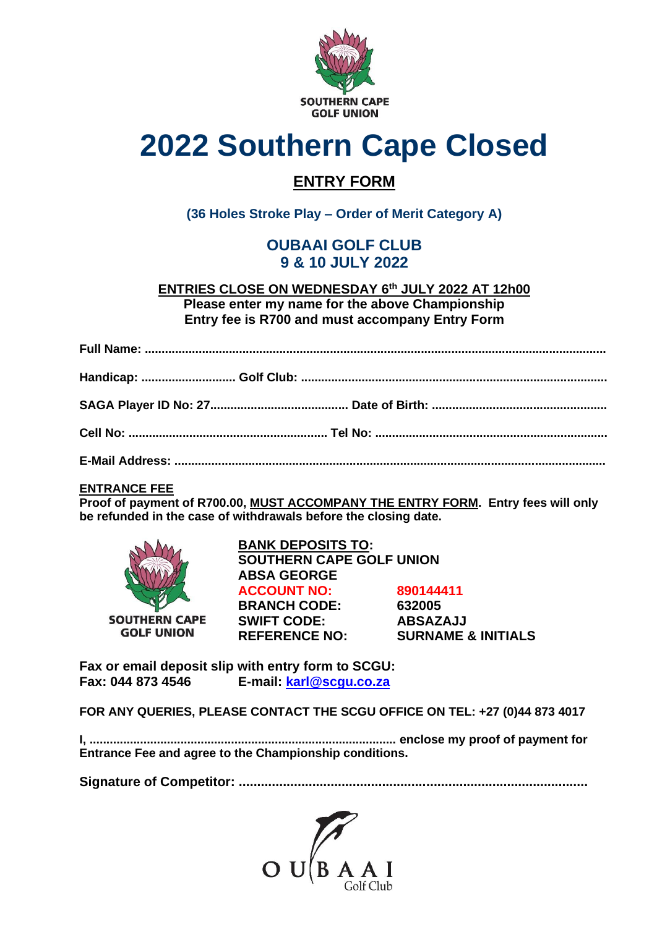

# **2022 Southern Cape Closed**

# **ENTRY FORM**

**(36 Holes Stroke Play – Order of Merit Category A)**

# **OUBAAI GOLF CLUB 9 & 10 JULY 2022**

**ENTRIES CLOSE ON WEDNESDAY 6 th JULY 2022 AT 12h00 Please enter my name for the above Championship Entry fee is R700 and must accompany Entry Form**

# **ENTRANCE FEE**

**Proof of payment of R700.00, MUST ACCOMPANY THE ENTRY FORM. Entry fees will only be refunded in the case of withdrawals before the closing date.**



**BANK DEPOSITS TO: SOUTHERN CAPE GOLF UNION ABSA GEORGE ACCOUNT NO: 890144411 BRANCH CODE: 632005 SWIFT CODE: ABSAZAJJ REFERENCE NO: SURNAME & INITIALS**

**Fax or email deposit slip with entry form to SCGU: Fax: 044 873 4546 E-mail: [karl@scgu.co.za](mailto:karl@scgu.co.za)**

**FOR ANY QUERIES, PLEASE CONTACT THE SCGU OFFICE ON TEL: +27 (0)44 873 4017**

**I, ........................................................................................... enclose my proof of payment for Entrance Fee and agree to the Championship conditions.**

**Signature of Competitor: ...............................................................................................**

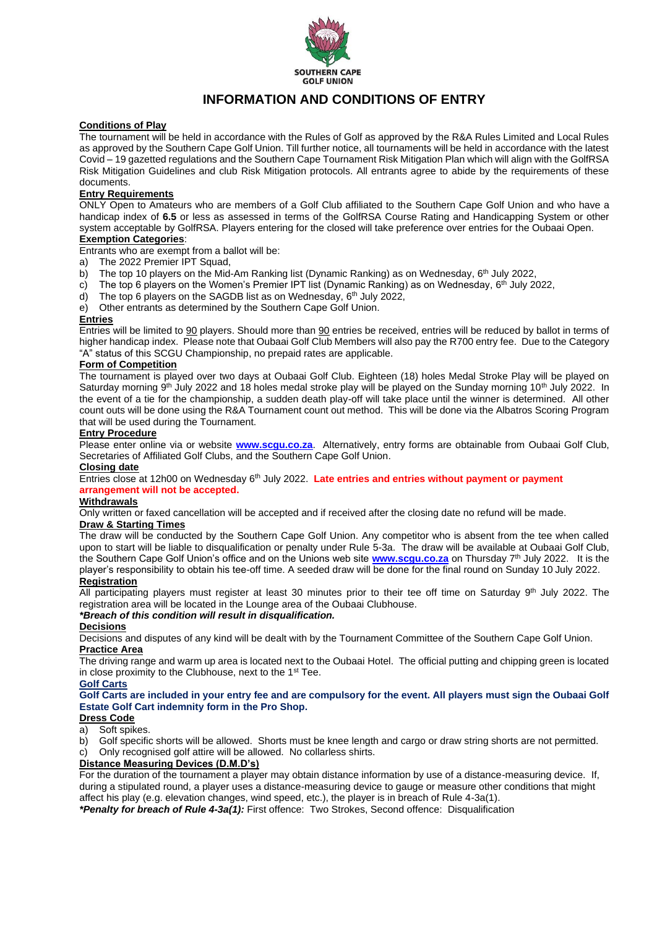

# **INFORMATION AND CONDITIONS OF ENTRY**

#### **Conditions of Play**

The tournament will be held in accordance with the Rules of Golf as approved by the R&A Rules Limited and Local Rules as approved by the Southern Cape Golf Union. Till further notice, all tournaments will be held in accordance with the latest Covid – 19 gazetted regulations and the Southern Cape Tournament Risk Mitigation Plan which will align with the GolfRSA Risk Mitigation Guidelines and club Risk Mitigation protocols. All entrants agree to abide by the requirements of these documents.

#### **Entry Requirements**

ONLY Open to Amateurs who are members of a Golf Club affiliated to the Southern Cape Golf Union and who have a handicap index of **6.5** or less as assessed in terms of the GolfRSA Course Rating and Handicapping System or other system acceptable by GolfRSA. Players entering for the closed will take preference over entries for the Oubaai Open.

## **Exemption Categories**:

Entrants who are exempt from a ballot will be:

- a) The 2022 Premier IPT Squad,
- b) The top 10 players on the Mid-Am Ranking list (Dynamic Ranking) as on Wednesday, 6<sup>th</sup> July 2022,
- c) The top 6 players on the Women's Premier IPT list (Dynamic Ranking) as on Wednesday, 6<sup>th</sup> July 2022,
- d) The top 6 players on the SAGDB list as on Wednesday, 6<sup>th</sup> July 2022,
- e) Other entrants as determined by the Southern Cape Golf Union.

#### **Entries**

Entries will be limited to 90 players. Should more than 90 entries be received, entries will be reduced by ballot in terms of higher handicap index. Please note that Oubaai Golf Club Members will also pay the R700 entry fee. Due to the Category "A" status of this SCGU Championship, no prepaid rates are applicable.

#### **Form of Competition**

The tournament is played over two days at Oubaai Golf Club. Eighteen (18) holes Medal Stroke Play will be played on Saturday morning 9<sup>th</sup> July 2022 and 18 holes medal stroke play will be played on the Sunday morning 10<sup>th</sup> July 2022. In the event of a tie for the championship, a sudden death play-off will take place until the winner is determined. All other count outs will be done using the R&A Tournament count out method. This will be done via the Albatros Scoring Program that will be used during the Tournament.

#### **Entry Procedure**

Please enter online via or website **[www.scgu.co.za](http://www.scgu.co.za/)**. Alternatively, entry forms are obtainable from Oubaai Golf Club, Secretaries of Affiliated Golf Clubs, and the Southern Cape Golf Union.

#### **Closing date**

Entries close at 12h00 on Wednesday 6<sup>th</sup> July 2022. Late entries and entries without payment or payment **arrangement will not be accepted.**

#### **Withdrawals**

Only written or faxed cancellation will be accepted and if received after the closing date no refund will be made.

#### **Draw & Starting Times**

The draw will be conducted by the Southern Cape Golf Union. Any competitor who is absent from the tee when called upon to start will be liable to disqualification or penalty under Rule 5-3a. The draw will be available at Oubaai Golf Club, the Southern Cape Golf Union's office and on the Unions web site **[www.scgu.co.za](http://www.scgu.co.za/)** on Thursday 7 th July 2022. It is the player's responsibility to obtain his tee-off time. A seeded draw will be done for the final round on Sunday 10 July 2022. **Registration**

All participating players must register at least 30 minutes prior to their tee off time on Saturday 9<sup>th</sup> July 2022. The registration area will be located in the Lounge area of the Oubaai Clubhouse.

#### *\*Breach of this condition will result in disqualification.*

#### **Decisions**

Decisions and disputes of any kind will be dealt with by the Tournament Committee of the Southern Cape Golf Union. **Practice Area**

The driving range and warm up area is located next to the Oubaai Hotel. The official putting and chipping green is located in close proximity to the Clubhouse, next to the 1<sup>st</sup> Tee.

#### **Golf Carts**

**Golf Carts are included in your entry fee and are compulsory for the event. All players must sign the Oubaai Golf Estate Golf Cart indemnity form in the Pro Shop.**

## **Dress Code**

a) Soft spikes.

b) Golf specific shorts will be allowed. Shorts must be knee length and cargo or draw string shorts are not permitted. c) Only recognised golf attire will be allowed. No collarless shirts.

#### **Distance Measuring Devices (D.M.D's)**

For the duration of the tournament a player may obtain distance information by use of a distance-measuring device. If, during a stipulated round, a player uses a distance-measuring device to gauge or measure other conditions that might affect his play (e.g. elevation changes, wind speed, etc.), the player is in breach of Rule 4-3a(1).

*\*Penalty for breach of Rule 4-3a(1):* First offence: Two Strokes, Second offence: Disqualification